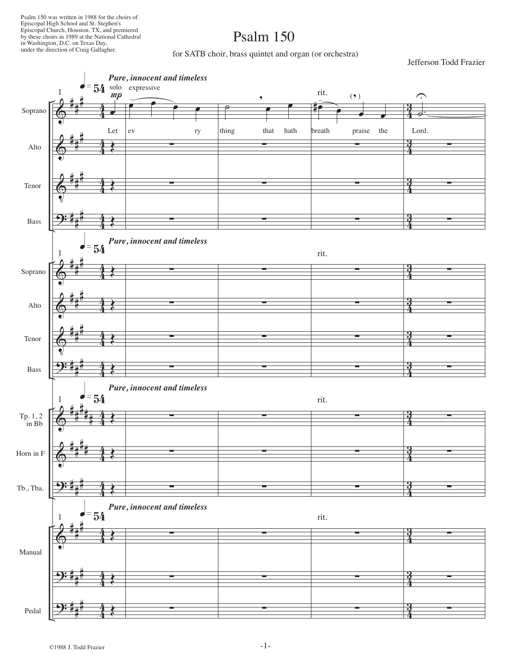Psalm 150 was written in 1988 for the choirs of Episcopal High School and St. Stephen's Episcopal Church, Houston, TX, and premiered by these choirs in 1989 at the National Cathedral in Washington, D.C. on Texas Day,<br>under the direction of Craig Gallagher.

## Psalm 150

for SATB choir, brass quintet and organ (or orchestra)

Jefferson Todd Frazier

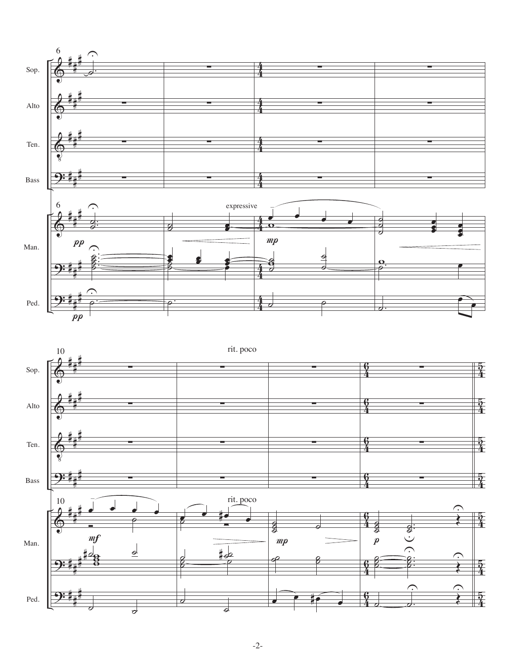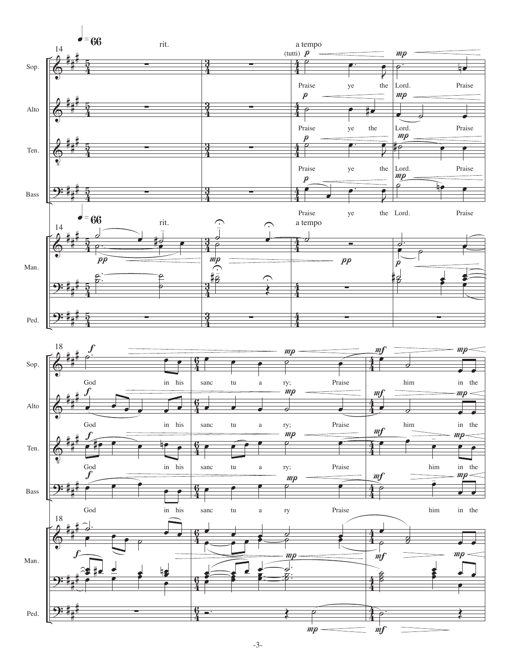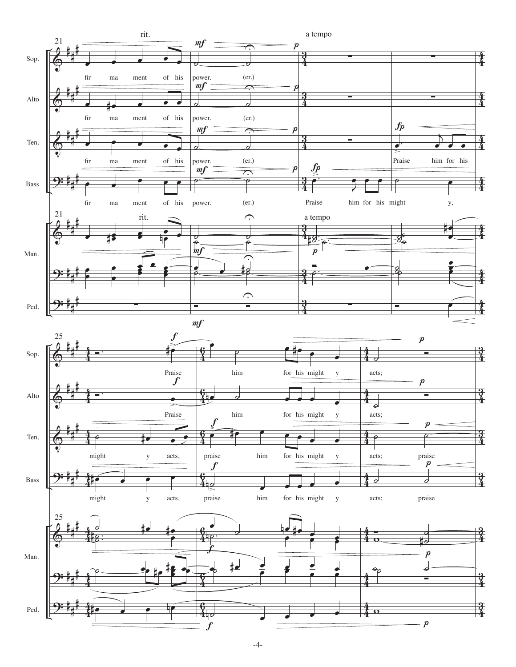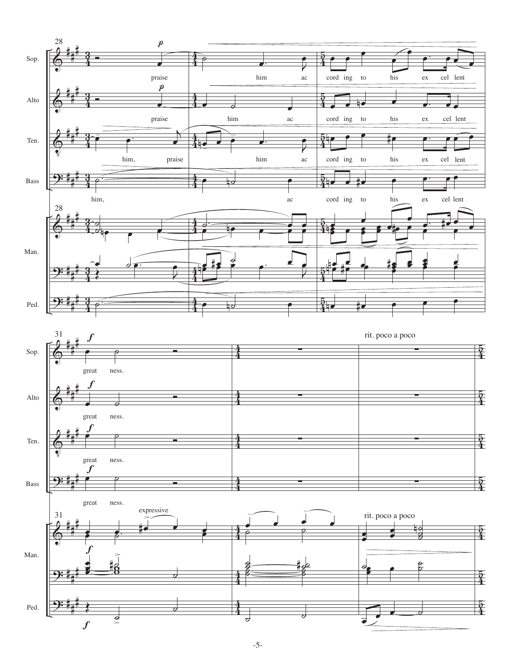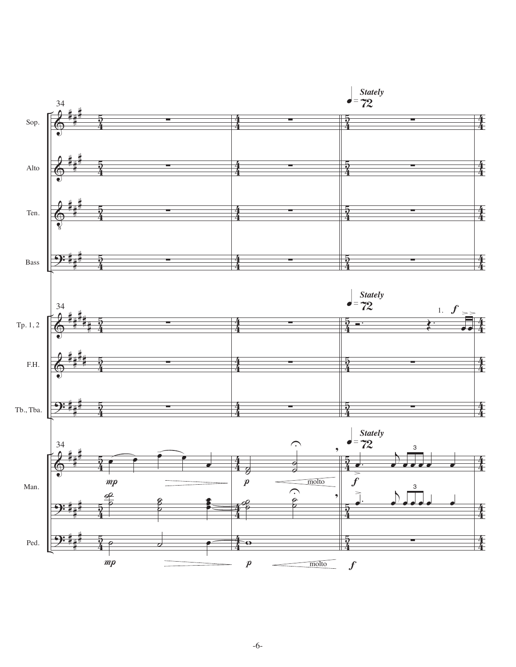

- 6 -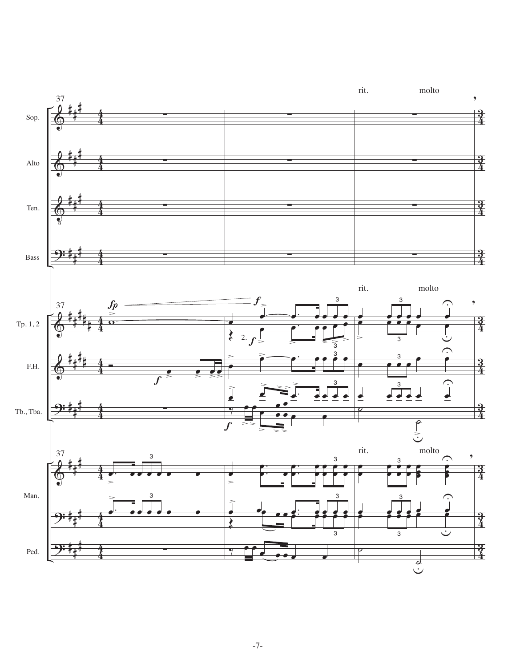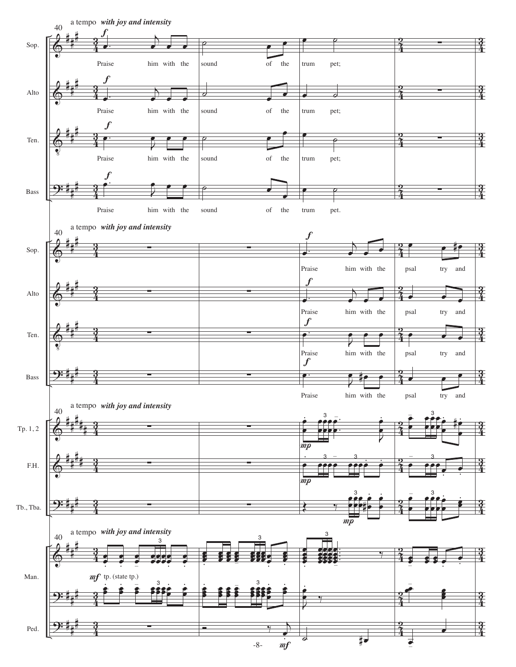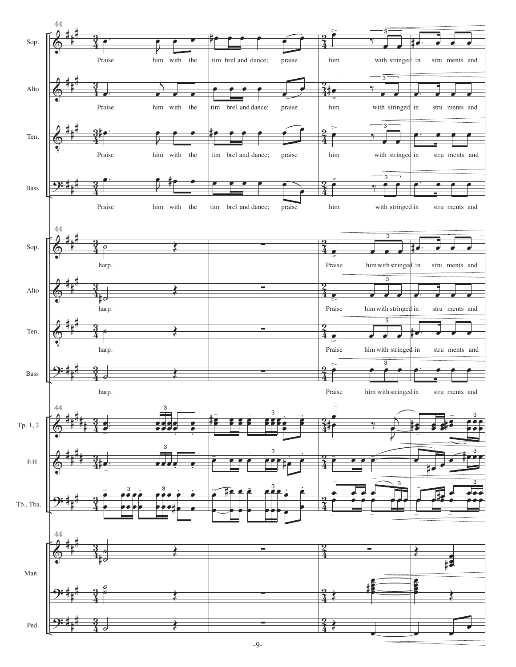

-9-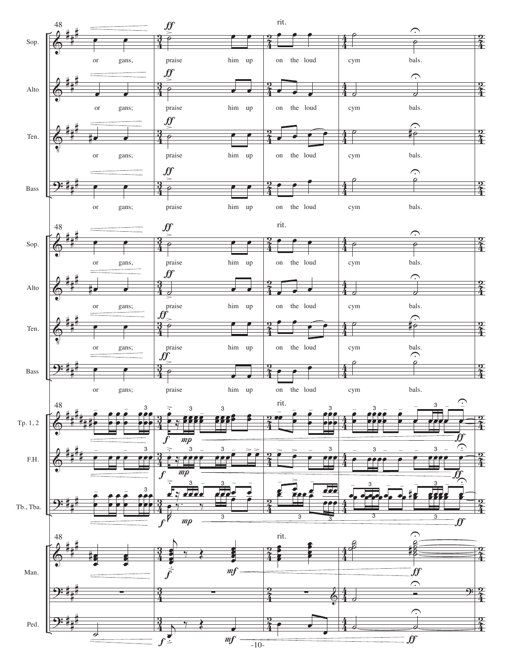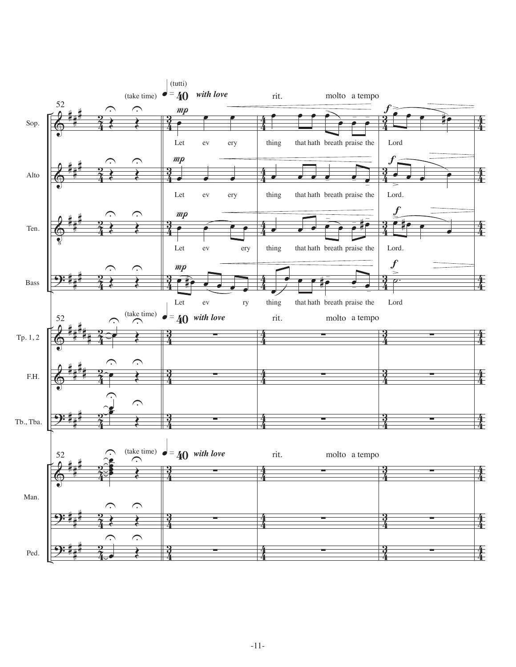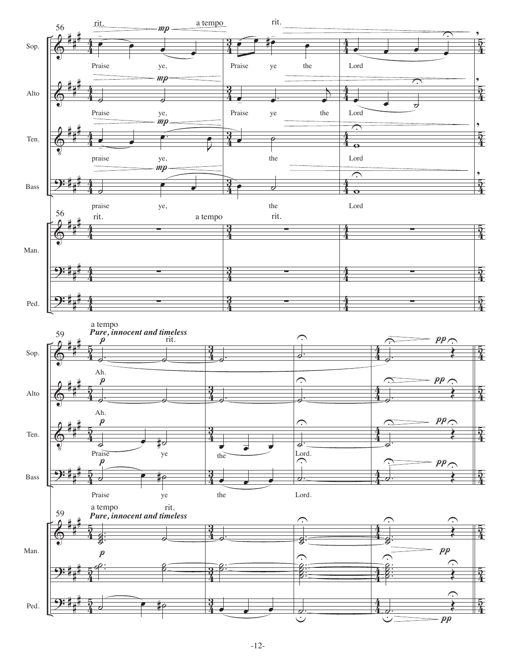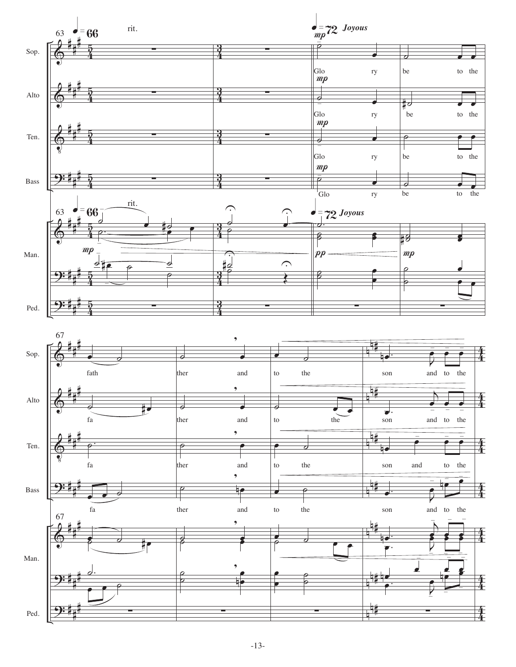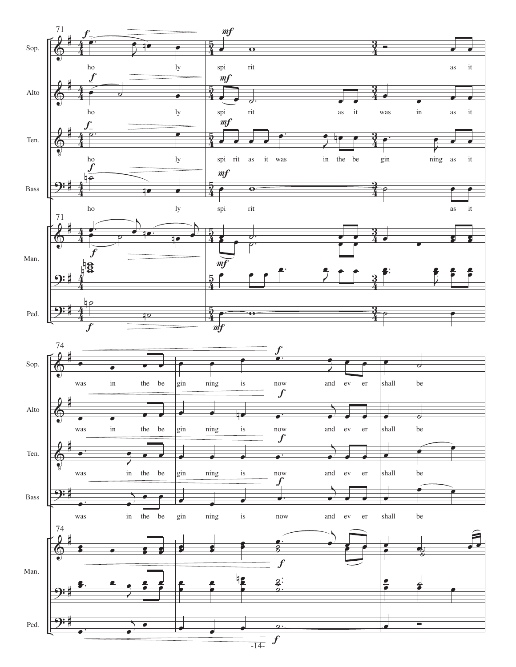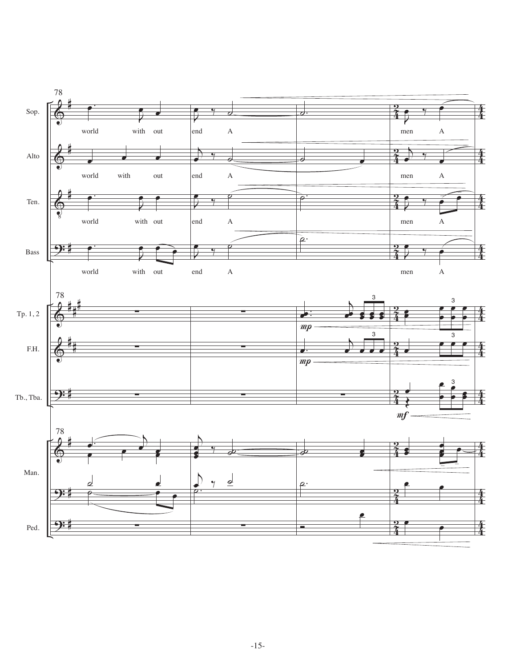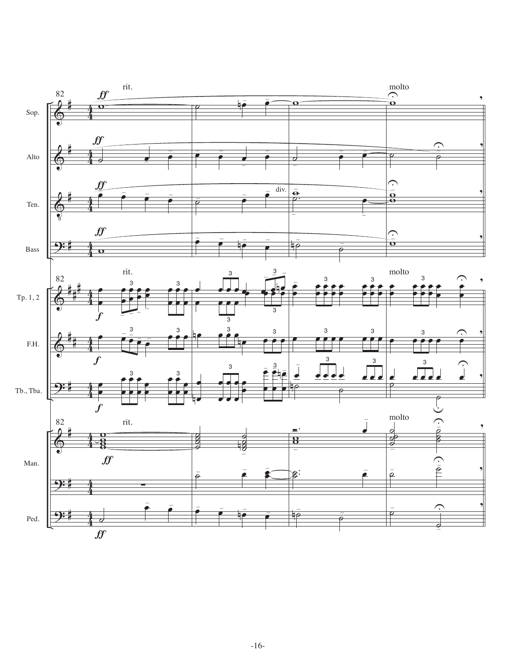